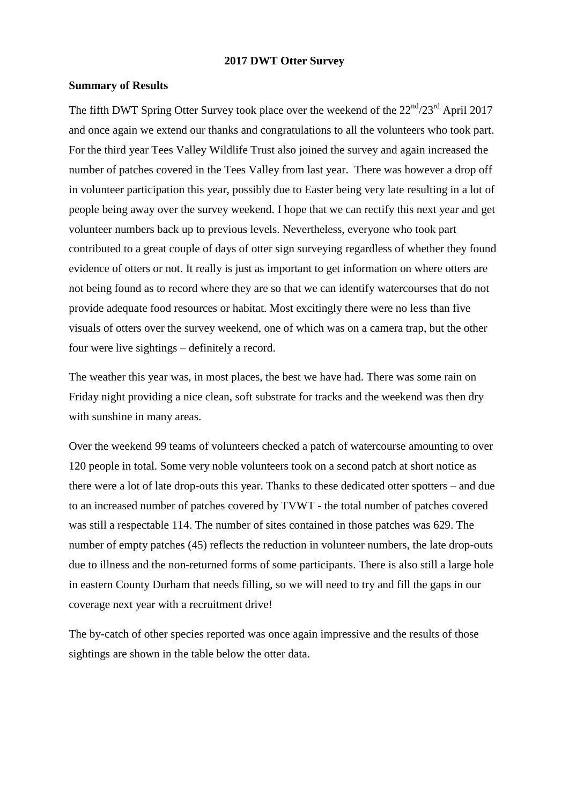#### **2017 DWT Otter Survey**

## **Summary of Results**

The fifth DWT Spring Otter Survey took place over the weekend of the  $22<sup>nd</sup>/23<sup>rd</sup>$  April 2017 and once again we extend our thanks and congratulations to all the volunteers who took part. For the third year Tees Valley Wildlife Trust also joined the survey and again increased the number of patches covered in the Tees Valley from last year. There was however a drop off in volunteer participation this year, possibly due to Easter being very late resulting in a lot of people being away over the survey weekend. I hope that we can rectify this next year and get volunteer numbers back up to previous levels. Nevertheless, everyone who took part contributed to a great couple of days of otter sign surveying regardless of whether they found evidence of otters or not. It really is just as important to get information on where otters are not being found as to record where they are so that we can identify watercourses that do not provide adequate food resources or habitat. Most excitingly there were no less than five visuals of otters over the survey weekend, one of which was on a camera trap, but the other four were live sightings – definitely a record.

The weather this year was, in most places, the best we have had. There was some rain on Friday night providing a nice clean, soft substrate for tracks and the weekend was then dry with sunshine in many areas.

Over the weekend 99 teams of volunteers checked a patch of watercourse amounting to over 120 people in total. Some very noble volunteers took on a second patch at short notice as there were a lot of late drop-outs this year. Thanks to these dedicated otter spotters – and due to an increased number of patches covered by TVWT - the total number of patches covered was still a respectable 114. The number of sites contained in those patches was 629. The number of empty patches (45) reflects the reduction in volunteer numbers, the late drop-outs due to illness and the non-returned forms of some participants. There is also still a large hole in eastern County Durham that needs filling, so we will need to try and fill the gaps in our coverage next year with a recruitment drive!

The by-catch of other species reported was once again impressive and the results of those sightings are shown in the table below the otter data.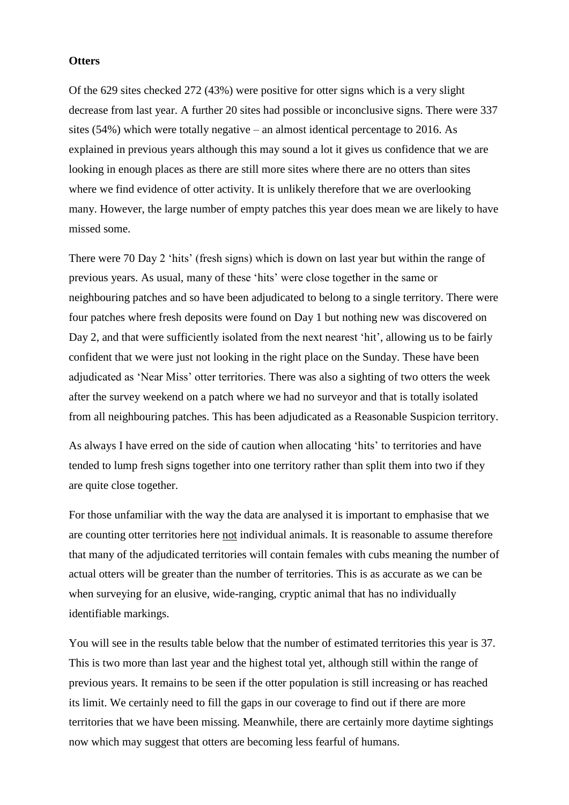## **Otters**

Of the 629 sites checked 272 (43%) were positive for otter signs which is a very slight decrease from last year. A further 20 sites had possible or inconclusive signs. There were 337 sites (54%) which were totally negative – an almost identical percentage to 2016. As explained in previous years although this may sound a lot it gives us confidence that we are looking in enough places as there are still more sites where there are no otters than sites where we find evidence of otter activity. It is unlikely therefore that we are overlooking many. However, the large number of empty patches this year does mean we are likely to have missed some.

There were 70 Day 2 'hits' (fresh signs) which is down on last year but within the range of previous years. As usual, many of these 'hits' were close together in the same or neighbouring patches and so have been adjudicated to belong to a single territory. There were four patches where fresh deposits were found on Day 1 but nothing new was discovered on Day 2, and that were sufficiently isolated from the next nearest 'hit', allowing us to be fairly confident that we were just not looking in the right place on the Sunday. These have been adjudicated as 'Near Miss' otter territories. There was also a sighting of two otters the week after the survey weekend on a patch where we had no surveyor and that is totally isolated from all neighbouring patches. This has been adjudicated as a Reasonable Suspicion territory.

As always I have erred on the side of caution when allocating 'hits' to territories and have tended to lump fresh signs together into one territory rather than split them into two if they are quite close together.

For those unfamiliar with the way the data are analysed it is important to emphasise that we are counting otter territories here not individual animals. It is reasonable to assume therefore that many of the adjudicated territories will contain females with cubs meaning the number of actual otters will be greater than the number of territories. This is as accurate as we can be when surveying for an elusive, wide-ranging, cryptic animal that has no individually identifiable markings.

You will see in the results table below that the number of estimated territories this year is 37. This is two more than last year and the highest total yet, although still within the range of previous years. It remains to be seen if the otter population is still increasing or has reached its limit. We certainly need to fill the gaps in our coverage to find out if there are more territories that we have been missing. Meanwhile, there are certainly more daytime sightings now which may suggest that otters are becoming less fearful of humans.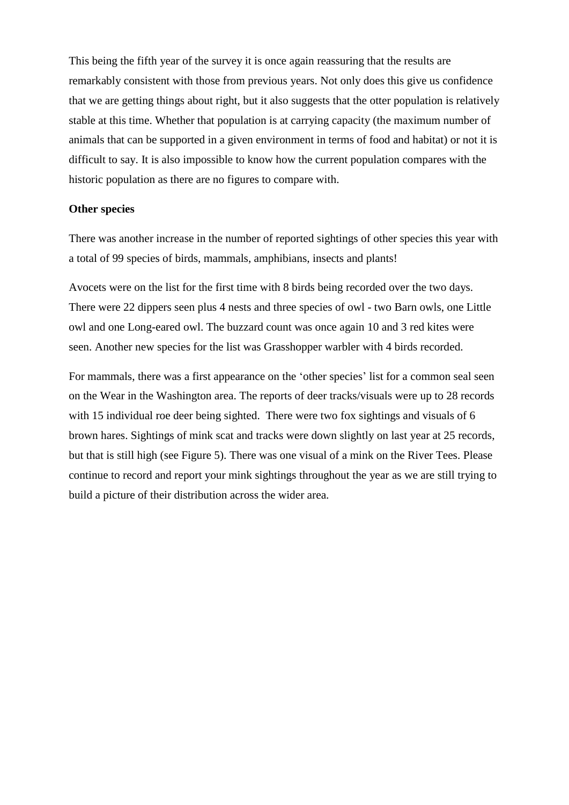This being the fifth year of the survey it is once again reassuring that the results are remarkably consistent with those from previous years. Not only does this give us confidence that we are getting things about right, but it also suggests that the otter population is relatively stable at this time. Whether that population is at carrying capacity (the maximum number of animals that can be supported in a given environment in terms of food and habitat) or not it is difficult to say. It is also impossible to know how the current population compares with the historic population as there are no figures to compare with.

#### **Other species**

There was another increase in the number of reported sightings of other species this year with a total of 99 species of birds, mammals, amphibians, insects and plants!

Avocets were on the list for the first time with 8 birds being recorded over the two days. There were 22 dippers seen plus 4 nests and three species of owl - two Barn owls, one Little owl and one Long-eared owl. The buzzard count was once again 10 and 3 red kites were seen. Another new species for the list was Grasshopper warbler with 4 birds recorded.

For mammals, there was a first appearance on the 'other species' list for a common seal seen on the Wear in the Washington area. The reports of deer tracks/visuals were up to 28 records with 15 individual roe deer being sighted. There were two fox sightings and visuals of 6 brown hares. Sightings of mink scat and tracks were down slightly on last year at 25 records, but that is still high (see Figure 5). There was one visual of a mink on the River Tees. Please continue to record and report your mink sightings throughout the year as we are still trying to build a picture of their distribution across the wider area.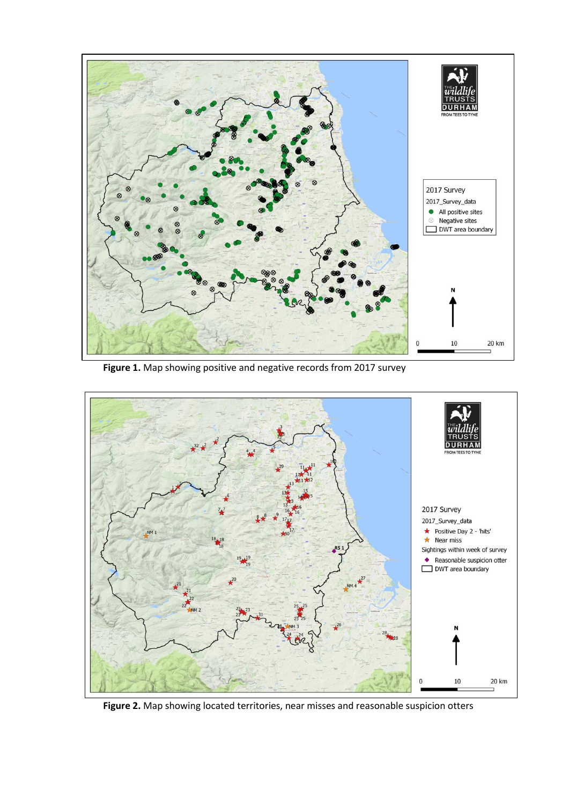

**Figure 1.** Map showing positive and negative records from 2017 survey



**Figure 2.** Map showing located territories, near misses and reasonable suspicion otters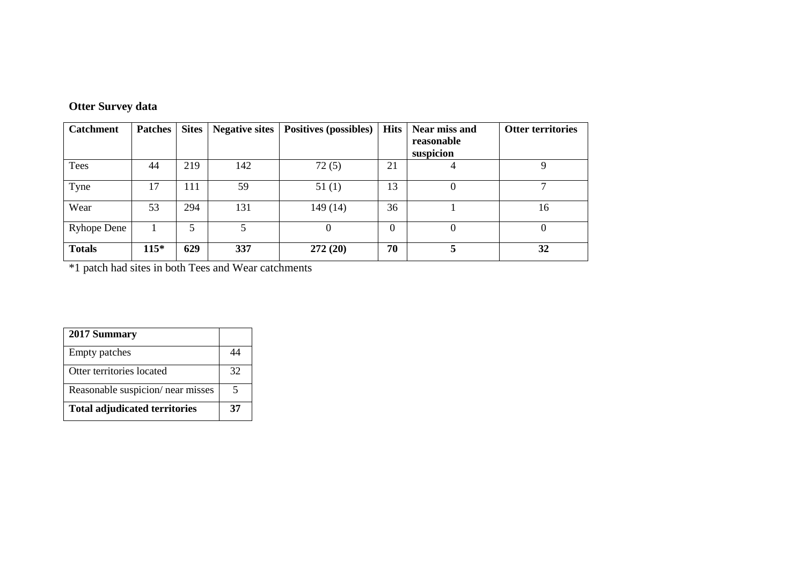|  | <b>Otter Survey data</b> |  |
|--|--------------------------|--|
|--|--------------------------|--|

| <b>Catchment</b>   | <b>Patches</b> | <b>Sites</b> | <b>Negative sites</b> | <b>Positives (possibles)</b> | <b>Hits</b> | Near miss and<br>reasonable<br>suspicion | <b>Otter territories</b> |
|--------------------|----------------|--------------|-----------------------|------------------------------|-------------|------------------------------------------|--------------------------|
| Tees               | 44             | 219          | 142                   | 72(5)                        | 21          | 4                                        | 9                        |
| Tyne               | 17             | 111          | 59                    | 51(1)                        | 13          | $\theta$                                 | ┑                        |
| Wear               | 53             | 294          | 131                   | 149 (14)                     | 36          |                                          | 16                       |
| <b>Ryhope Dene</b> |                | 5            |                       | $\theta$                     | 0           | $\theta$                                 | $\theta$                 |
| <b>Totals</b>      | $115*$         | 629          | 337                   | 272(20)                      | 70          | 5                                        | 32                       |

\*1 patch had sites in both Tees and Wear catchments

| 2017 Summary                         |    |
|--------------------------------------|----|
| Empty patches                        |    |
| Otter territories located            | 32 |
| Reasonable suspicion/ near misses    | 5  |
| <b>Total adjudicated territories</b> | 37 |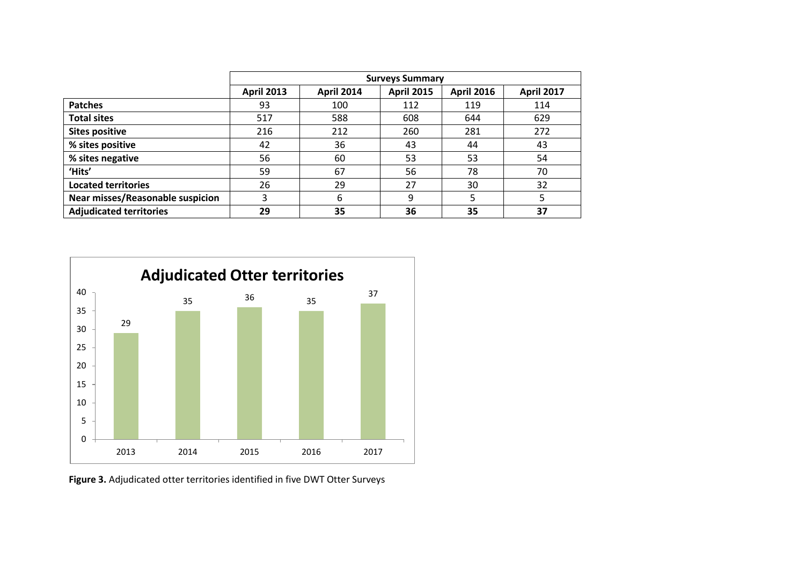|                                         | <b>Surveys Summary</b> |                   |                   |                   |                   |
|-----------------------------------------|------------------------|-------------------|-------------------|-------------------|-------------------|
|                                         | <b>April 2013</b>      | <b>April 2014</b> | <b>April 2015</b> | <b>April 2016</b> | <b>April 2017</b> |
| <b>Patches</b>                          | 93                     | 100               | 112               | 119               | 114               |
| <b>Total sites</b>                      | 517                    | 588               | 608               | 644               | 629               |
| <b>Sites positive</b>                   | 216                    | 212               | 260               | 281               | 272               |
| % sites positive                        | 42                     | 36                | 43                | 44                | 43                |
| % sites negative                        | 56                     | 60                | 53                | 53                | 54                |
| 'Hits'                                  | 59                     | 67                | 56                | 78                | 70                |
| <b>Located territories</b>              | 26                     | 29                | 27                | 30                | 32                |
| <b>Near misses/Reasonable suspicion</b> | 3                      | 6                 | 9                 | 5                 | 5                 |
| <b>Adjudicated territories</b>          | 29                     | 35                | 36                | 35                | 37                |



**Figure 3.** Adjudicated otter territories identified in five DWT Otter Surveys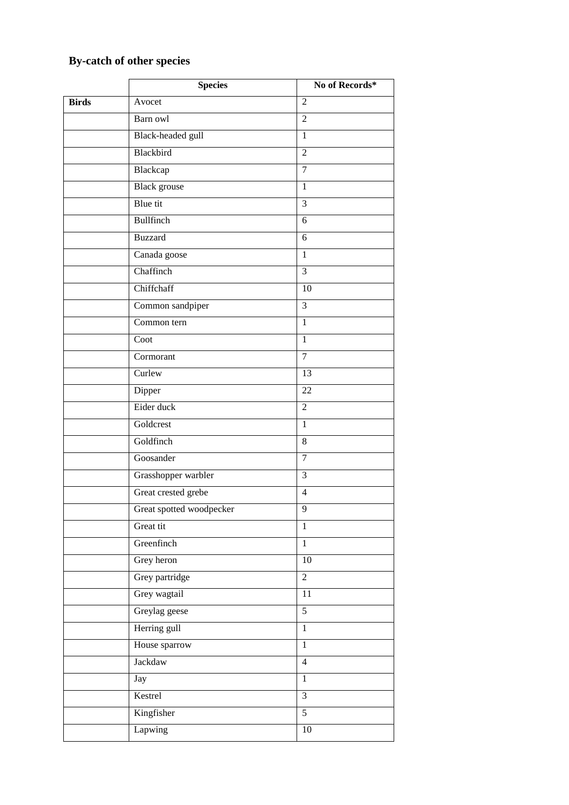# **By-catch of other species**

|              | <b>Species</b>           | No of Records* |
|--------------|--------------------------|----------------|
| <b>Birds</b> | Avocet                   | $\overline{2}$ |
|              | Barn owl                 | $\overline{2}$ |
|              | Black-headed gull        | $\mathbf{1}$   |
|              | Blackbird                | $\overline{2}$ |
|              | Blackcap                 | $\overline{7}$ |
|              | <b>Black</b> grouse      | $\mathbf{1}$   |
|              | Blue tit                 | 3              |
|              | Bullfinch                | 6              |
|              | <b>Buzzard</b>           | 6              |
|              | Canada goose             | $\mathbf{1}$   |
|              | Chaffinch                | 3              |
|              | Chiffchaff               | 10             |
|              | Common sandpiper         | $\overline{3}$ |
|              | Common tern              | $\mathbf{1}$   |
|              | Coot                     | $\mathbf{1}$   |
|              | Cormorant                | $\overline{7}$ |
|              | Curlew                   | 13             |
|              | Dipper                   | 22             |
|              | Eider duck               | $\overline{2}$ |
|              | Goldcrest                | $\mathbf{1}$   |
|              | Goldfinch                | 8              |
|              | Goosander                | $\overline{7}$ |
|              | Grasshopper warbler      | 3              |
|              | Great crested grebe      | $\overline{4}$ |
|              | Great spotted woodpecker | 9              |
|              | Great tit                | $\mathbf{1}$   |
|              | Greenfinch               | $\mathbf{1}$   |
|              | Grey heron               | $10\,$         |
|              | Grey partridge           | $\overline{2}$ |
|              | Grey wagtail             | 11             |
|              | Greylag geese            | 5              |
|              | Herring gull             | $\mathbf{1}$   |
|              | House sparrow            | $\mathbf{1}$   |
|              | Jackdaw                  | $\overline{4}$ |
|              | Jay                      | $\mathbf{1}$   |
|              | Kestrel                  | $\overline{3}$ |
|              | Kingfisher               | $\overline{5}$ |
|              | Lapwing                  | $10\,$         |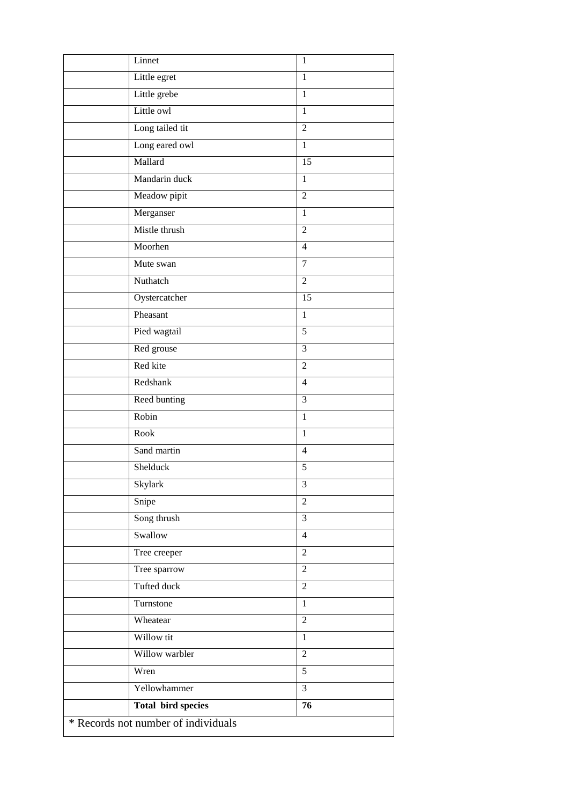|                                     | Linnet                    | 1              |  |  |
|-------------------------------------|---------------------------|----------------|--|--|
|                                     | Little egret              | $\mathbf{1}$   |  |  |
|                                     | Little grebe              | $\mathbf{1}$   |  |  |
|                                     | Little owl                | $\mathbf{1}$   |  |  |
|                                     | Long tailed tit           | $\overline{2}$ |  |  |
|                                     | Long eared owl            | $\mathbf{1}$   |  |  |
|                                     | Mallard                   | 15             |  |  |
|                                     | Mandarin duck             | $\mathbf{1}$   |  |  |
|                                     | Meadow pipit              | $\overline{2}$ |  |  |
|                                     | Merganser                 | $\mathbf{1}$   |  |  |
|                                     | Mistle thrush             | $\overline{2}$ |  |  |
|                                     | Moorhen                   | $\overline{4}$ |  |  |
|                                     | Mute swan                 | $\overline{7}$ |  |  |
|                                     | Nuthatch                  | $\overline{2}$ |  |  |
|                                     | Oystercatcher             | 15             |  |  |
|                                     | Pheasant                  | $\mathbf{1}$   |  |  |
|                                     | Pied wagtail              | $\overline{5}$ |  |  |
|                                     | Red grouse                | 3              |  |  |
|                                     | Red kite                  | $\overline{2}$ |  |  |
|                                     | Redshank                  | $\overline{4}$ |  |  |
|                                     | Reed bunting              | 3              |  |  |
|                                     | Robin                     | $\mathbf{1}$   |  |  |
|                                     | Rook                      | $\mathbf{1}$   |  |  |
|                                     | Sand martin               | $\overline{4}$ |  |  |
|                                     | Shelduck                  | 5              |  |  |
|                                     | Skylark                   | 3              |  |  |
|                                     | Snipe                     | $\overline{2}$ |  |  |
|                                     | Song thrush               | 3              |  |  |
|                                     | Swallow                   | $\overline{4}$ |  |  |
|                                     | Tree creeper              | $\overline{2}$ |  |  |
|                                     | Tree sparrow              | $\sqrt{2}$     |  |  |
|                                     | Tufted duck               | $\overline{2}$ |  |  |
|                                     | Turnstone                 | $\mathbf{1}$   |  |  |
|                                     | Wheatear                  | $\overline{2}$ |  |  |
|                                     | Willow tit                | $\mathbf{1}$   |  |  |
|                                     | Willow warbler            | $\overline{2}$ |  |  |
|                                     | Wren                      | $\overline{5}$ |  |  |
|                                     | Yellowhammer              | $\overline{3}$ |  |  |
|                                     | <b>Total bird species</b> | 76             |  |  |
| * Records not number of individuals |                           |                |  |  |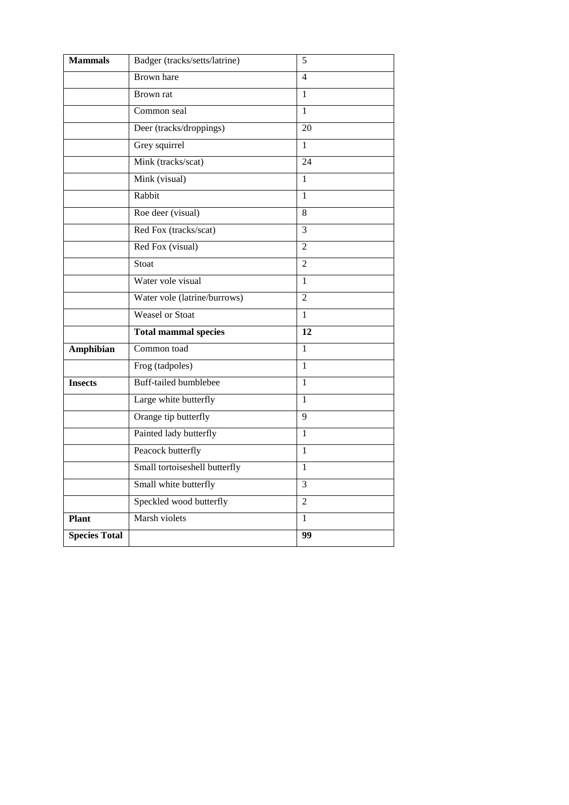| <b>Mammals</b>       | Badger (tracks/setts/latrine) | 5               |
|----------------------|-------------------------------|-----------------|
|                      | <b>Brown</b> hare             | 4               |
|                      | Brown rat                     | 1               |
|                      | Common seal                   | 1               |
|                      | Deer (tracks/droppings)       | $\overline{20}$ |
|                      | Grey squirrel                 | 1               |
|                      | Mink (tracks/scat)            | 24              |
|                      | Mink (visual)                 | 1               |
|                      | Rabbit                        | 1               |
|                      | Roe deer (visual)             | 8               |
|                      | Red Fox (tracks/scat)         | 3               |
|                      | Red Fox (visual)              | $\overline{2}$  |
|                      | Stoat                         | $\overline{2}$  |
|                      | Water vole visual             | 1               |
|                      | Water vole (latrine/burrows)  | $\overline{2}$  |
|                      | <b>Weasel</b> or Stoat        | $\mathbf{1}$    |
|                      | <b>Total mammal species</b>   | $\overline{12}$ |
| Amphibian            | Common toad                   | 1               |
|                      | Frog (tadpoles)               | $\mathbf{1}$    |
| <b>Insects</b>       | <b>Buff-tailed bumblebee</b>  | 1               |
|                      | Large white butterfly         | 1               |
|                      | Orange tip butterfly          | 9               |
|                      | Painted lady butterfly        | $\mathbf{1}$    |
|                      | Peacock butterfly             | 1               |
|                      | Small tortoiseshell butterfly | 1               |
|                      | Small white butterfly         | 3               |
|                      | Speckled wood butterfly       | $\overline{2}$  |
| <b>Plant</b>         | Marsh violets                 | $\mathbf{1}$    |
| <b>Species Total</b> |                               | 99              |